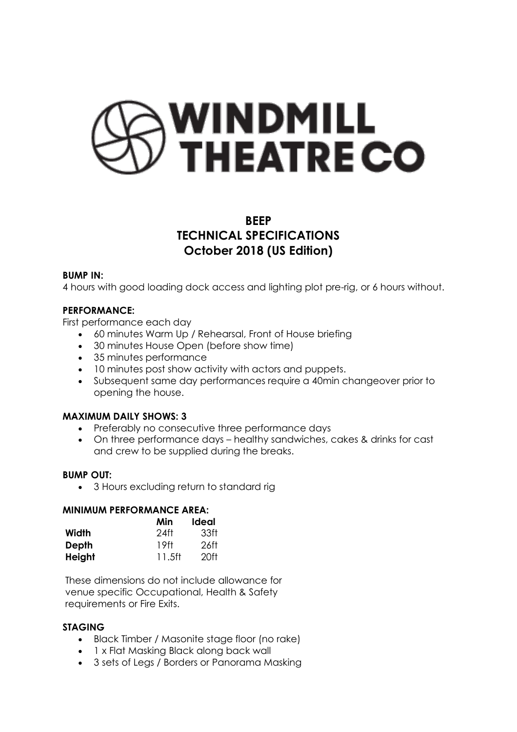# **WINDMILL<br>THEATRE CO**

# **BEEP TECHNICAL SPECIFICATIONS October 2018 (US Edition)**

#### **BUMP IN:**

4 hours with good loading dock access and lighting plot pre-rig, or 6 hours without.

# **PERFORMANCE:**

First performance each day

- 60 minutes Warm Up / Rehearsal, Front of House briefing
- 30 minutes House Open (before show time)
- 35 minutes performance
- 10 minutes post show activity with actors and puppets.
- Subsequent same day performances require a 40min changeover prior to opening the house.

# **MAXIMUM DAILY SHOWS: 3**

- Preferably no consecutive three performance days
- On three performance days healthy sandwiches, cakes & drinks for cast and crew to be supplied during the breaks.

#### **BUMP OUT:**

• 3 Hours excluding return to standard rig

#### **MINIMUM PERFORMANCE AREA:**

|        | Min    | Ideal |
|--------|--------|-------|
| Width  | 24ft   | 33ft  |
| Depth  | 19ft   | 26ft  |
| Height | 11.5ft | 20ft  |

These dimensions do not include allowance for venue specific Occupational, Health & Safety requirements or Fire Exits.

#### **STAGING**

- Black Timber / Masonite stage floor (no rake)
- 1 x Flat Masking Black along back wall
- 3 sets of Legs / Borders or Panorama Masking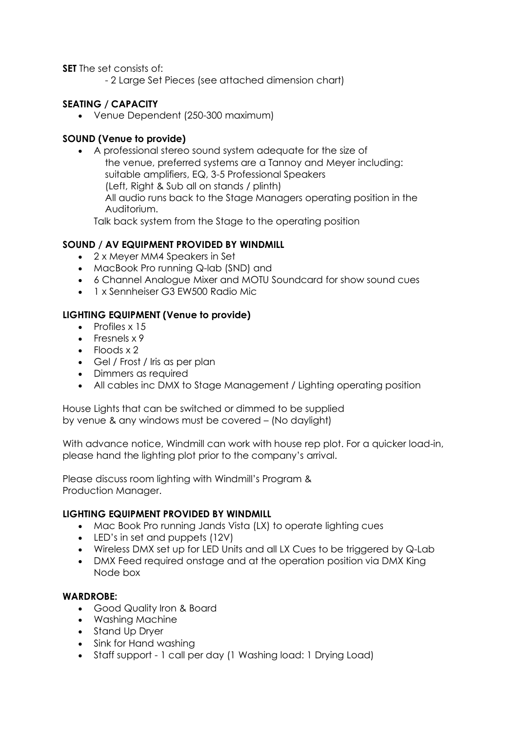**SET** The set consists of:

- 2 Large Set Pieces (see attached dimension chart)

# **SEATING / CAPACITY**

• Venue Dependent (250-300 maximum)

# **SOUND (Venue to provide)**

• A professional stereo sound system adequate for the size of the venue, preferred systems are a Tannoy and Meyer including: suitable amplifiers, EQ, 3-5 Professional Speakers (Left, Right & Sub all on stands / plinth) All audio runs back to the Stage Managers operating position in the Auditorium.

Talk back system from the Stage to the operating position

# **SOUND / AV EQUIPMENT PROVIDED BY WINDMILL**

- 2 x Meyer MM4 Speakers in Set
- MacBook Pro running Q-lab (SND) and
- 6 Channel Analogue Mixer and MOTU Soundcard for show sound cues
- 1 x Sennheiser G3 FW500 Radio Mic

# **LIGHTING EQUIPMENT (Venue to provide)**

- Profiles x 15
- Fresnels x 9
- Floods x 2
- Gel / Frost / Iris as per plan
- Dimmers as required
- All cables inc DMX to Stage Management / Lighting operating position

House Lights that can be switched or dimmed to be supplied by venue & any windows must be covered – (No daylight)

With advance notice, Windmill can work with house rep plot. For a quicker load-in, please hand the lighting plot prior to the company's arrival.

Please discuss room lighting with Windmill's Program & Production Manager.

# **LIGHTING EQUIPMENT PROVIDED BY WINDMILL**

- Mac Book Pro running Jands Vista (LX) to operate lighting cues
- LED's in set and puppets (12V)
- Wireless DMX set up for LED Units and all LX Cues to be triggered by Q-Lab
- DMX Feed required onstage and at the operation position via DMX King Node box

#### **WARDROBE:**

- Good Quality Iron & Board
- Washing Machine
- Stand Up Dryer
- Sink for Hand washing
- Staff support 1 call per day (1 Washing load: 1 Drying Load)